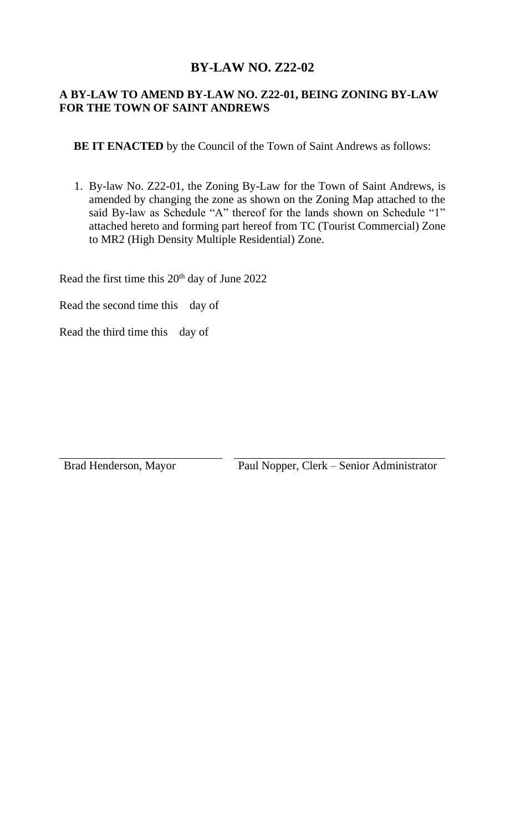## **BY-LAW NO. Z22-02**

## **A BY-LAW TO AMEND BY-LAW NO. Z22-01, BEING ZONING BY-LAW FOR THE TOWN OF SAINT ANDREWS**

**BE IT ENACTED** by the Council of the Town of Saint Andrews as follows:

1. By-law No. Z22-01, the Zoning By-Law for the Town of Saint Andrews, is amended by changing the zone as shown on the Zoning Map attached to the said By-law as Schedule "A" thereof for the lands shown on Schedule "1" attached hereto and forming part hereof from TC (Tourist Commercial) Zone to MR2 (High Density Multiple Residential) Zone.

Read the first time this 20<sup>th</sup> day of June 2022

Read the second time this day of

Read the third time this day of

Brad Henderson, Mayor Paul Nopper, Clerk – Senior Administrator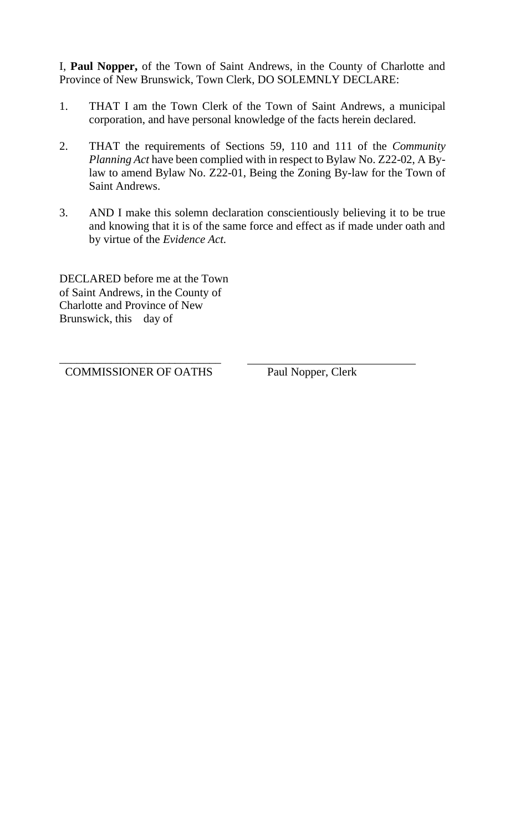I, **Paul Nopper,** of the Town of Saint Andrews, in the County of Charlotte and Province of New Brunswick, Town Clerk, DO SOLEMNLY DECLARE:

- 1. THAT I am the Town Clerk of the Town of Saint Andrews, a municipal corporation, and have personal knowledge of the facts herein declared.
- 2. THAT the requirements of Sections 59, 110 and 111 of the *Community Planning Act* have been complied with in respect to Bylaw No. Z22-02, A Bylaw to amend Bylaw No. Z22-01, Being the Zoning By-law for the Town of Saint Andrews.
- 3. AND I make this solemn declaration conscientiously believing it to be true and knowing that it is of the same force and effect as if made under oath and by virtue of the *Evidence Act.*

DECLARED before me at the Town of Saint Andrews, in the County of Charlotte and Province of New Brunswick, this day of

\_\_\_\_\_\_\_\_\_\_\_\_\_\_\_\_\_\_\_\_\_\_\_\_\_\_\_\_ COMMISSIONER OF OATHS Paul Nopper, Clerk